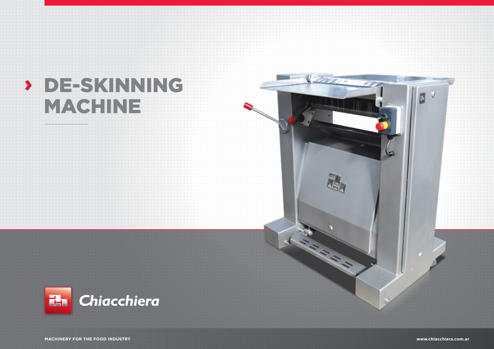